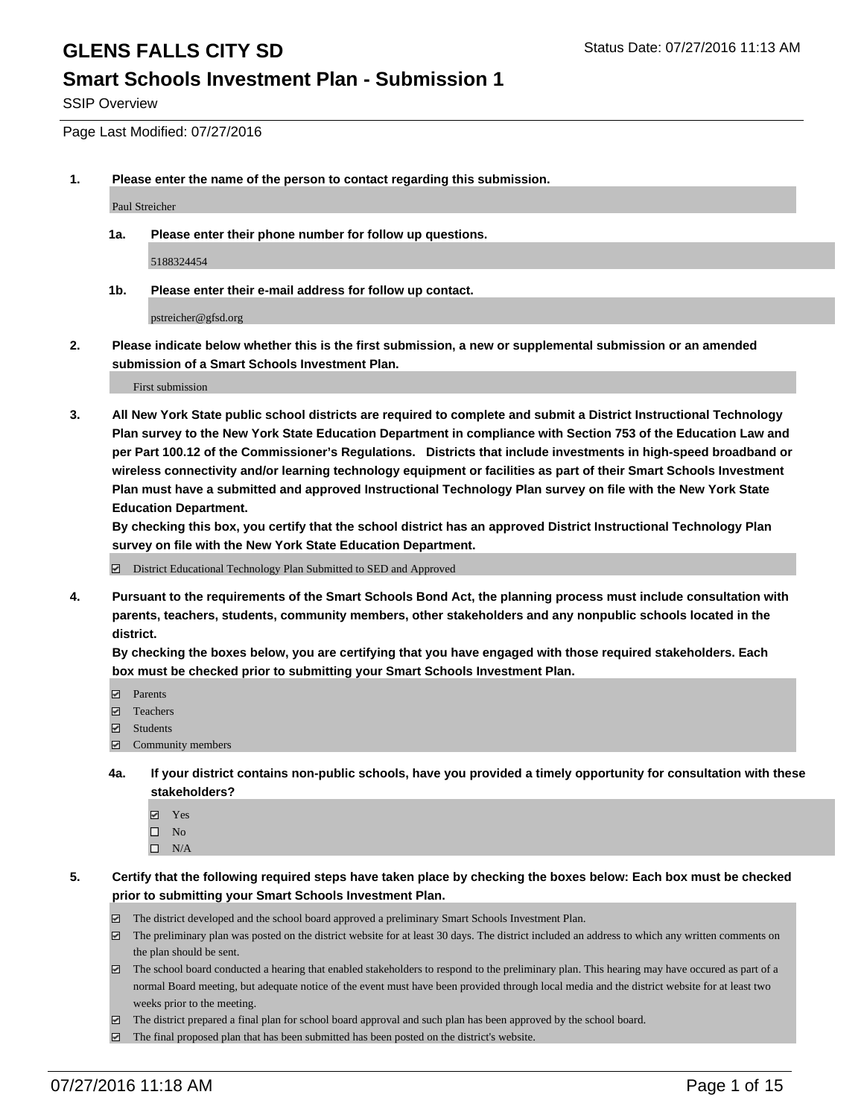#### **Smart Schools Investment Plan - Submission 1**

SSIP Overview

Page Last Modified: 07/27/2016

**1. Please enter the name of the person to contact regarding this submission.**

Paul Streicher

**1a. Please enter their phone number for follow up questions.**

5188324454

**1b. Please enter their e-mail address for follow up contact.**

pstreicher@gfsd.org

**2. Please indicate below whether this is the first submission, a new or supplemental submission or an amended submission of a Smart Schools Investment Plan.**

First submission

**3. All New York State public school districts are required to complete and submit a District Instructional Technology Plan survey to the New York State Education Department in compliance with Section 753 of the Education Law and per Part 100.12 of the Commissioner's Regulations. Districts that include investments in high-speed broadband or wireless connectivity and/or learning technology equipment or facilities as part of their Smart Schools Investment Plan must have a submitted and approved Instructional Technology Plan survey on file with the New York State Education Department.** 

**By checking this box, you certify that the school district has an approved District Instructional Technology Plan survey on file with the New York State Education Department.**

District Educational Technology Plan Submitted to SED and Approved

**4. Pursuant to the requirements of the Smart Schools Bond Act, the planning process must include consultation with parents, teachers, students, community members, other stakeholders and any nonpublic schools located in the district.** 

**By checking the boxes below, you are certifying that you have engaged with those required stakeholders. Each box must be checked prior to submitting your Smart Schools Investment Plan.**

- Parents
- Teachers
- Students
- Community members
- **4a. If your district contains non-public schools, have you provided a timely opportunity for consultation with these stakeholders?**
	- Yes  $\square$  No
	- $\square$  N/A
- **5. Certify that the following required steps have taken place by checking the boxes below: Each box must be checked prior to submitting your Smart Schools Investment Plan.**
	- The district developed and the school board approved a preliminary Smart Schools Investment Plan.
	- $\Box$  The preliminary plan was posted on the district website for at least 30 days. The district included an address to which any written comments on the plan should be sent.
	- $\Box$  The school board conducted a hearing that enabled stakeholders to respond to the preliminary plan. This hearing may have occured as part of a normal Board meeting, but adequate notice of the event must have been provided through local media and the district website for at least two weeks prior to the meeting.
	- The district prepared a final plan for school board approval and such plan has been approved by the school board.
	- $\boxdot$  The final proposed plan that has been submitted has been posted on the district's website.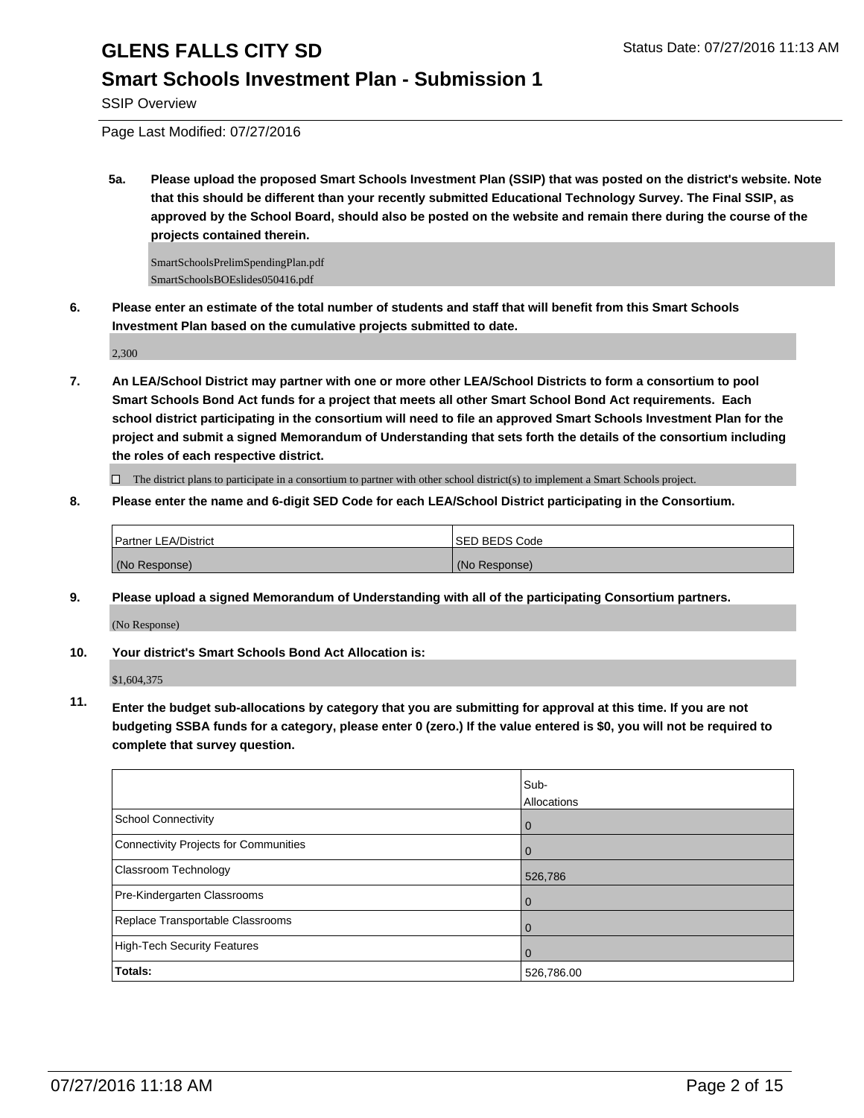### **Smart Schools Investment Plan - Submission 1**

SSIP Overview

Page Last Modified: 07/27/2016

**5a. Please upload the proposed Smart Schools Investment Plan (SSIP) that was posted on the district's website. Note that this should be different than your recently submitted Educational Technology Survey. The Final SSIP, as approved by the School Board, should also be posted on the website and remain there during the course of the projects contained therein.**

SmartSchoolsPrelimSpendingPlan.pdf SmartSchoolsBOEslides050416.pdf

**6. Please enter an estimate of the total number of students and staff that will benefit from this Smart Schools Investment Plan based on the cumulative projects submitted to date.**

2,300

**7. An LEA/School District may partner with one or more other LEA/School Districts to form a consortium to pool Smart Schools Bond Act funds for a project that meets all other Smart School Bond Act requirements. Each school district participating in the consortium will need to file an approved Smart Schools Investment Plan for the project and submit a signed Memorandum of Understanding that sets forth the details of the consortium including the roles of each respective district.**

 $\Box$  The district plans to participate in a consortium to partner with other school district(s) to implement a Smart Schools project.

**8. Please enter the name and 6-digit SED Code for each LEA/School District participating in the Consortium.**

| <b>Partner LEA/District</b> | <b>ISED BEDS Code</b> |
|-----------------------------|-----------------------|
| (No Response)               | (No Response)         |

**9. Please upload a signed Memorandum of Understanding with all of the participating Consortium partners.**

(No Response)

#### **10. Your district's Smart Schools Bond Act Allocation is:**

\$1,604,375

**11. Enter the budget sub-allocations by category that you are submitting for approval at this time. If you are not budgeting SSBA funds for a category, please enter 0 (zero.) If the value entered is \$0, you will not be required to complete that survey question.**

|                                       | Sub-<br>Allocations |
|---------------------------------------|---------------------|
| School Connectivity                   | U                   |
| Connectivity Projects for Communities |                     |
| Classroom Technology                  | 526,786             |
| Pre-Kindergarten Classrooms           |                     |
| Replace Transportable Classrooms      |                     |
| High-Tech Security Features           | $\Omega$            |
| Totals:                               | 526,786.00          |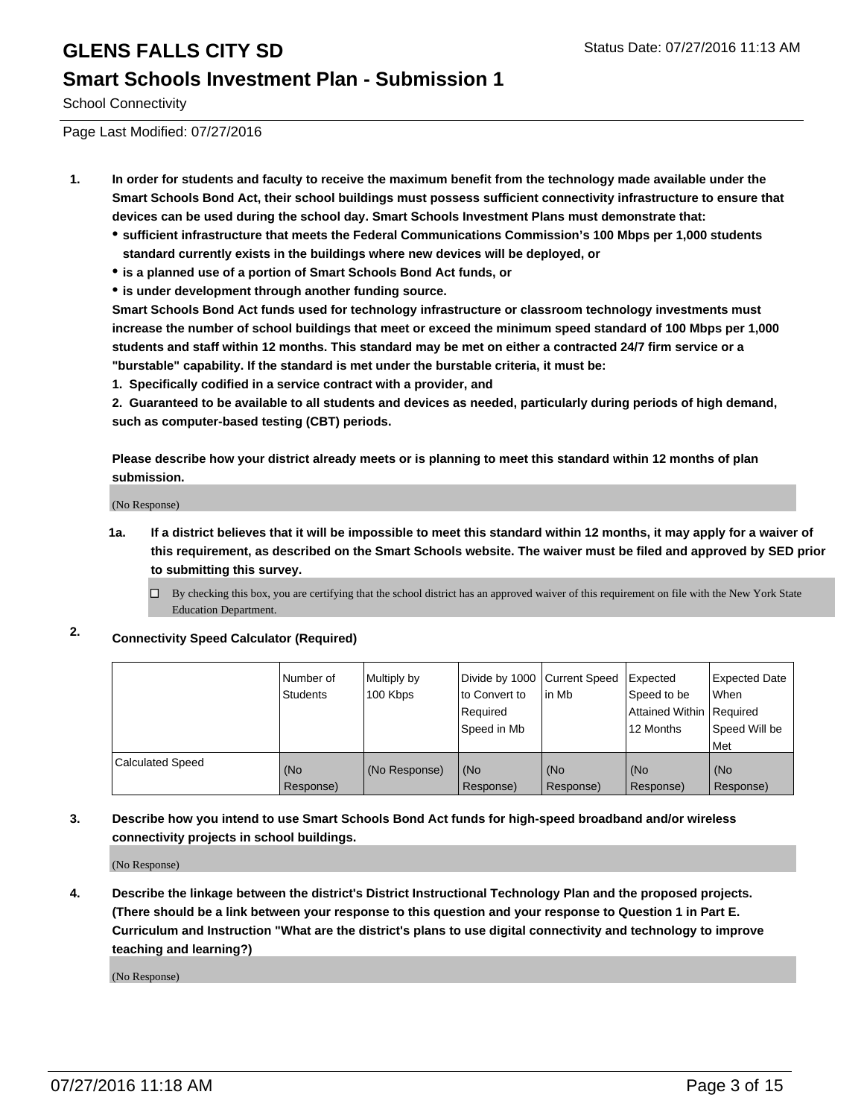### **Smart Schools Investment Plan - Submission 1**

School Connectivity

Page Last Modified: 07/27/2016

- **1. In order for students and faculty to receive the maximum benefit from the technology made available under the Smart Schools Bond Act, their school buildings must possess sufficient connectivity infrastructure to ensure that devices can be used during the school day. Smart Schools Investment Plans must demonstrate that:**
	- **sufficient infrastructure that meets the Federal Communications Commission's 100 Mbps per 1,000 students standard currently exists in the buildings where new devices will be deployed, or**
	- **is a planned use of a portion of Smart Schools Bond Act funds, or**
	- **is under development through another funding source.**

**Smart Schools Bond Act funds used for technology infrastructure or classroom technology investments must increase the number of school buildings that meet or exceed the minimum speed standard of 100 Mbps per 1,000 students and staff within 12 months. This standard may be met on either a contracted 24/7 firm service or a "burstable" capability. If the standard is met under the burstable criteria, it must be:**

**1. Specifically codified in a service contract with a provider, and**

**2. Guaranteed to be available to all students and devices as needed, particularly during periods of high demand, such as computer-based testing (CBT) periods.**

**Please describe how your district already meets or is planning to meet this standard within 12 months of plan submission.**

(No Response)

- **1a. If a district believes that it will be impossible to meet this standard within 12 months, it may apply for a waiver of this requirement, as described on the Smart Schools website. The waiver must be filed and approved by SED prior to submitting this survey.**
	- $\Box$  By checking this box, you are certifying that the school district has an approved waiver of this requirement on file with the New York State Education Department.
- **2. Connectivity Speed Calculator (Required)**

|                         | Number of<br><b>Students</b> | Multiply by<br>100 Kbps | Divide by 1000 Current Speed<br>to Convert to<br>Required<br>Speed in Mb | lin Mb           | Expected<br>Speed to be<br>Attained Within Required<br>12 Months | Expected Date<br>l When<br>Speed Will be<br>l Met |
|-------------------------|------------------------------|-------------------------|--------------------------------------------------------------------------|------------------|------------------------------------------------------------------|---------------------------------------------------|
| <b>Calculated Speed</b> | (No<br>Response)             | (No Response)           | (No<br>Response)                                                         | (No<br>Response) | (No<br>Response)                                                 | (No<br>Response)                                  |

#### **3. Describe how you intend to use Smart Schools Bond Act funds for high-speed broadband and/or wireless connectivity projects in school buildings.**

(No Response)

**4. Describe the linkage between the district's District Instructional Technology Plan and the proposed projects. (There should be a link between your response to this question and your response to Question 1 in Part E. Curriculum and Instruction "What are the district's plans to use digital connectivity and technology to improve teaching and learning?)**

(No Response)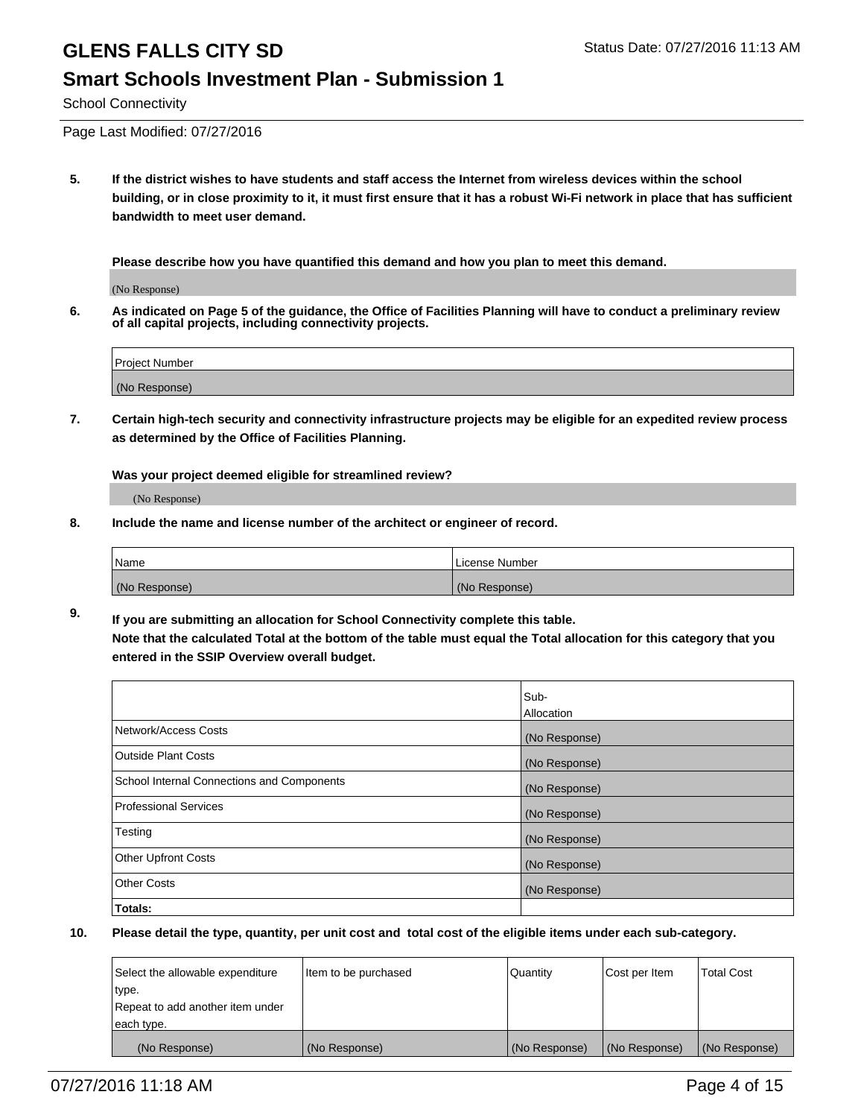#### **Smart Schools Investment Plan - Submission 1**

School Connectivity

Page Last Modified: 07/27/2016

**5. If the district wishes to have students and staff access the Internet from wireless devices within the school building, or in close proximity to it, it must first ensure that it has a robust Wi-Fi network in place that has sufficient bandwidth to meet user demand.**

**Please describe how you have quantified this demand and how you plan to meet this demand.**

(No Response)

**6. As indicated on Page 5 of the guidance, the Office of Facilities Planning will have to conduct a preliminary review of all capital projects, including connectivity projects.**

| Project Number |  |
|----------------|--|
| (No Response)  |  |

**7. Certain high-tech security and connectivity infrastructure projects may be eligible for an expedited review process as determined by the Office of Facilities Planning.**

**Was your project deemed eligible for streamlined review?**

(No Response)

**8. Include the name and license number of the architect or engineer of record.**

| <b>Name</b>   | License Number |
|---------------|----------------|
| (No Response) | (No Response)  |

**9. If you are submitting an allocation for School Connectivity complete this table. Note that the calculated Total at the bottom of the table must equal the Total allocation for this category that you entered in the SSIP Overview overall budget.** 

|                                            | Sub-          |
|--------------------------------------------|---------------|
|                                            | Allocation    |
| Network/Access Costs                       | (No Response) |
| <b>Outside Plant Costs</b>                 | (No Response) |
| School Internal Connections and Components | (No Response) |
| Professional Services                      | (No Response) |
| Testing                                    | (No Response) |
| <b>Other Upfront Costs</b>                 | (No Response) |
| <b>Other Costs</b>                         | (No Response) |
| Totals:                                    |               |

| Select the allowable expenditure | litem to be purchased | Quantity      | Cost per Item | <b>Total Cost</b> |
|----------------------------------|-----------------------|---------------|---------------|-------------------|
| type.                            |                       |               |               |                   |
| Repeat to add another item under |                       |               |               |                   |
| each type.                       |                       |               |               |                   |
| (No Response)                    | (No Response)         | (No Response) | (No Response) | (No Response)     |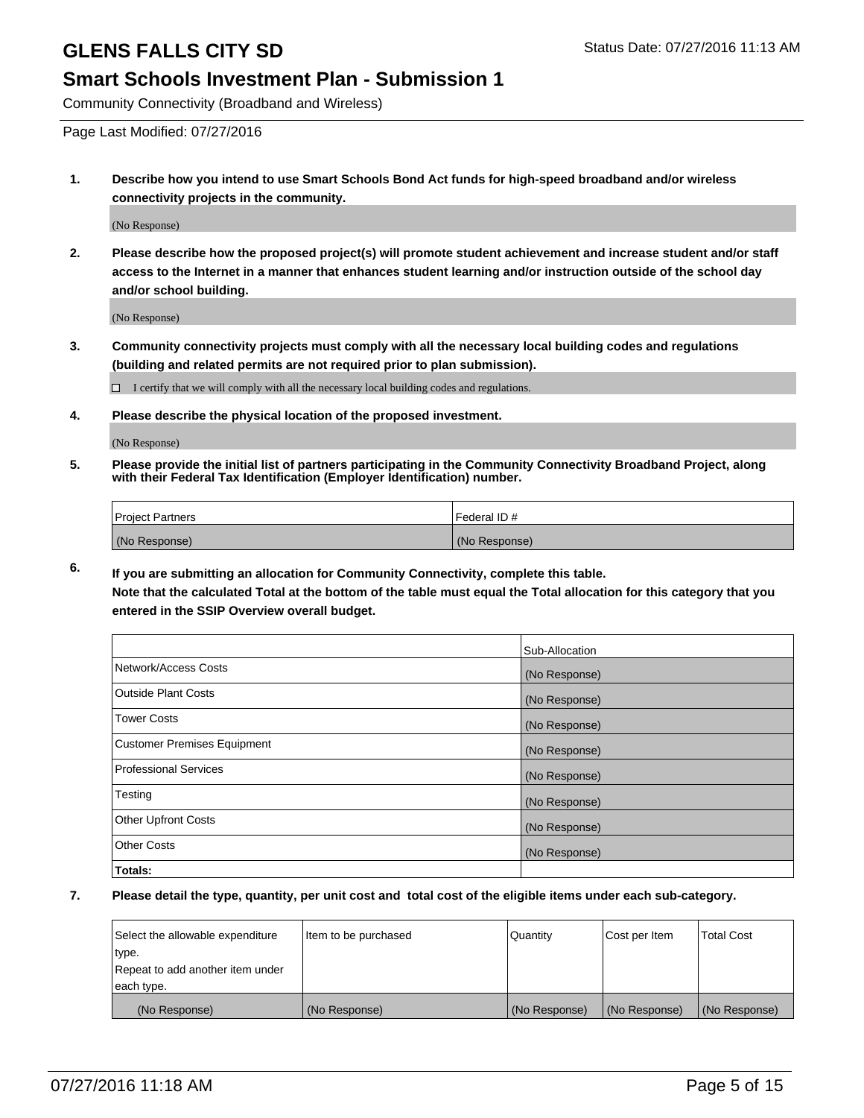### **Smart Schools Investment Plan - Submission 1**

Community Connectivity (Broadband and Wireless)

Page Last Modified: 07/27/2016

**1. Describe how you intend to use Smart Schools Bond Act funds for high-speed broadband and/or wireless connectivity projects in the community.**

(No Response)

**2. Please describe how the proposed project(s) will promote student achievement and increase student and/or staff access to the Internet in a manner that enhances student learning and/or instruction outside of the school day and/or school building.**

(No Response)

**3. Community connectivity projects must comply with all the necessary local building codes and regulations (building and related permits are not required prior to plan submission).**

 $\Box$  I certify that we will comply with all the necessary local building codes and regulations.

**4. Please describe the physical location of the proposed investment.**

(No Response)

**5. Please provide the initial list of partners participating in the Community Connectivity Broadband Project, along with their Federal Tax Identification (Employer Identification) number.**

| Project Partners | I Federal ID # |
|------------------|----------------|
| (No Response)    | (No Response)  |

**6. If you are submitting an allocation for Community Connectivity, complete this table. Note that the calculated Total at the bottom of the table must equal the Total allocation for this category that you**

**entered in the SSIP Overview overall budget.**

|                             | Sub-Allocation |
|-----------------------------|----------------|
| Network/Access Costs        | (No Response)  |
| Outside Plant Costs         | (No Response)  |
| <b>Tower Costs</b>          | (No Response)  |
| Customer Premises Equipment | (No Response)  |
| Professional Services       | (No Response)  |
| Testing                     | (No Response)  |
| Other Upfront Costs         | (No Response)  |
| Other Costs                 | (No Response)  |
| Totals:                     |                |

| Select the allowable expenditure | Item to be purchased | Quantity      | Cost per Item | <b>Total Cost</b> |
|----------------------------------|----------------------|---------------|---------------|-------------------|
| type.                            |                      |               |               |                   |
| Repeat to add another item under |                      |               |               |                   |
| each type.                       |                      |               |               |                   |
| (No Response)                    | (No Response)        | (No Response) | (No Response) | (No Response)     |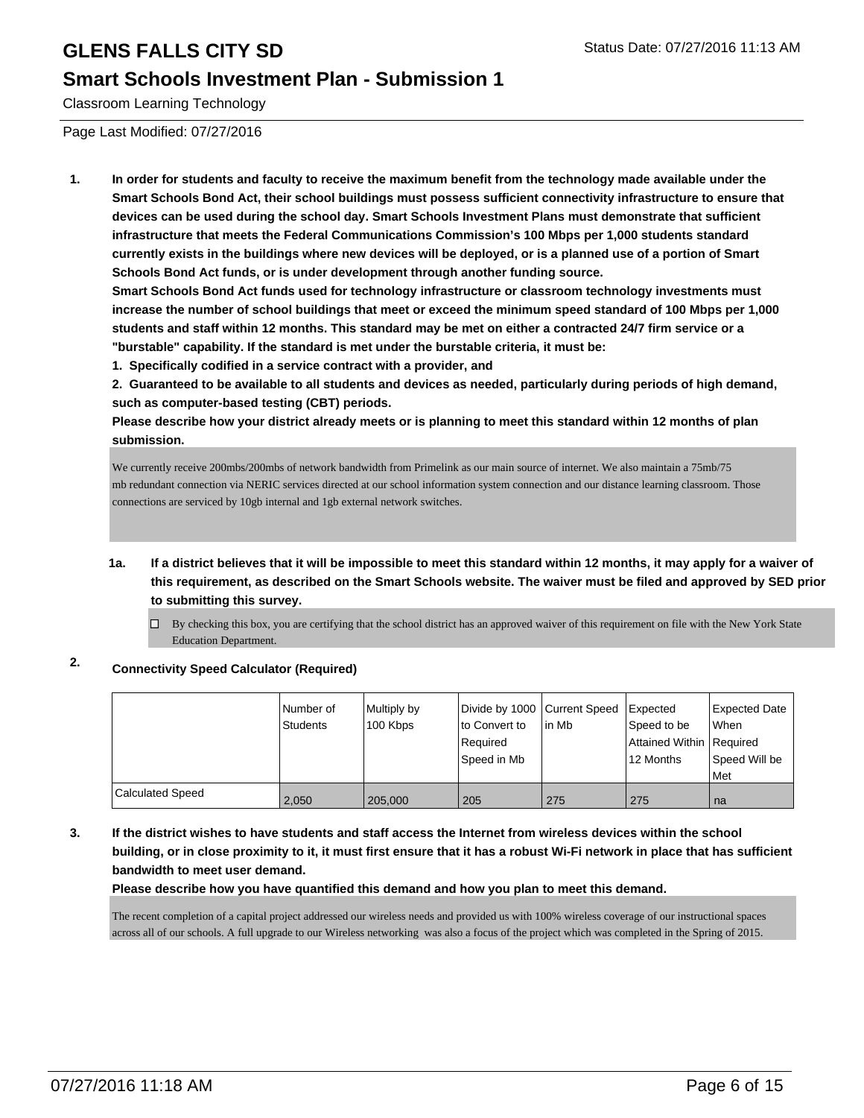### **Smart Schools Investment Plan - Submission 1**

Classroom Learning Technology

Page Last Modified: 07/27/2016

**1. In order for students and faculty to receive the maximum benefit from the technology made available under the Smart Schools Bond Act, their school buildings must possess sufficient connectivity infrastructure to ensure that devices can be used during the school day. Smart Schools Investment Plans must demonstrate that sufficient infrastructure that meets the Federal Communications Commission's 100 Mbps per 1,000 students standard currently exists in the buildings where new devices will be deployed, or is a planned use of a portion of Smart Schools Bond Act funds, or is under development through another funding source.**

**Smart Schools Bond Act funds used for technology infrastructure or classroom technology investments must increase the number of school buildings that meet or exceed the minimum speed standard of 100 Mbps per 1,000 students and staff within 12 months. This standard may be met on either a contracted 24/7 firm service or a "burstable" capability. If the standard is met under the burstable criteria, it must be:**

**1. Specifically codified in a service contract with a provider, and**

**2. Guaranteed to be available to all students and devices as needed, particularly during periods of high demand, such as computer-based testing (CBT) periods.**

**Please describe how your district already meets or is planning to meet this standard within 12 months of plan submission.**

We currently receive 200mbs/200mbs of network bandwidth from Primelink as our main source of internet. We also maintain a 75mb/75 mb redundant connection via NERIC services directed at our school information system connection and our distance learning classroom. Those connections are serviced by 10gb internal and 1gb external network switches.

**1a. If a district believes that it will be impossible to meet this standard within 12 months, it may apply for a waiver of this requirement, as described on the Smart Schools website. The waiver must be filed and approved by SED prior to submitting this survey.**

 $\Box$  By checking this box, you are certifying that the school district has an approved waiver of this requirement on file with the New York State Education Department.

#### **2. Connectivity Speed Calculator (Required)**

|                  | Number of<br>Students | Multiply by<br>100 Kbps | Divide by 1000 Current Speed<br>to Convert to<br>Reauired<br>Speed in Mb | In Mb | Expected<br>Speed to be<br>Attained Within Required<br>12 Months | Expected Date<br><b>When</b><br>Speed Will be<br><b>Met</b> |
|------------------|-----------------------|-------------------------|--------------------------------------------------------------------------|-------|------------------------------------------------------------------|-------------------------------------------------------------|
| Calculated Speed | 2,050                 | 205,000                 | 205                                                                      | 275   | 275                                                              | ∣na                                                         |

#### **3. If the district wishes to have students and staff access the Internet from wireless devices within the school building, or in close proximity to it, it must first ensure that it has a robust Wi-Fi network in place that has sufficient bandwidth to meet user demand.**

**Please describe how you have quantified this demand and how you plan to meet this demand.**

The recent completion of a capital project addressed our wireless needs and provided us with 100% wireless coverage of our instructional spaces across all of our schools. A full upgrade to our Wireless networking was also a focus of the project which was completed in the Spring of 2015.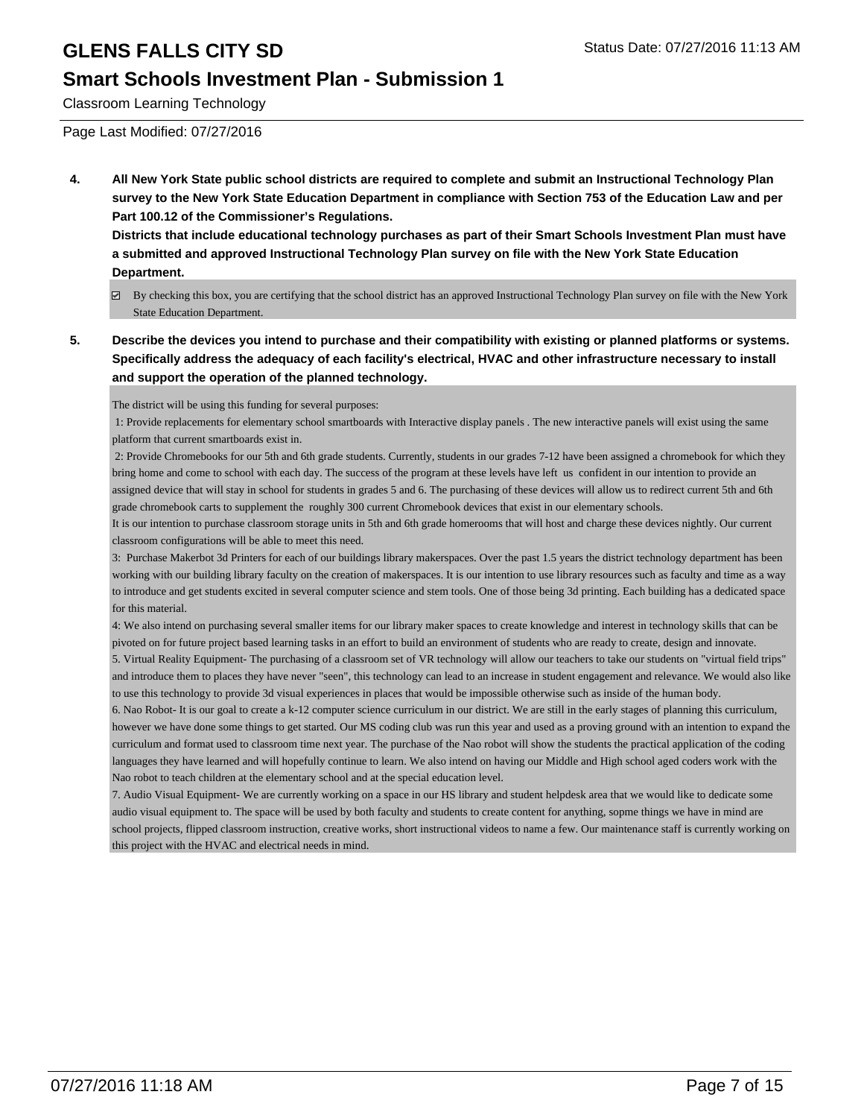### **Smart Schools Investment Plan - Submission 1**

Classroom Learning Technology

Page Last Modified: 07/27/2016

**4. All New York State public school districts are required to complete and submit an Instructional Technology Plan survey to the New York State Education Department in compliance with Section 753 of the Education Law and per Part 100.12 of the Commissioner's Regulations.**

**Districts that include educational technology purchases as part of their Smart Schools Investment Plan must have a submitted and approved Instructional Technology Plan survey on file with the New York State Education Department.**

- By checking this box, you are certifying that the school district has an approved Instructional Technology Plan survey on file with the New York State Education Department.
- **5. Describe the devices you intend to purchase and their compatibility with existing or planned platforms or systems. Specifically address the adequacy of each facility's electrical, HVAC and other infrastructure necessary to install and support the operation of the planned technology.**

The district will be using this funding for several purposes:

 1: Provide replacements for elementary school smartboards with Interactive display panels . The new interactive panels will exist using the same platform that current smartboards exist in.

 2: Provide Chromebooks for our 5th and 6th grade students. Currently, students in our grades 7-12 have been assigned a chromebook for which they bring home and come to school with each day. The success of the program at these levels have left us confident in our intention to provide an assigned device that will stay in school for students in grades 5 and 6. The purchasing of these devices will allow us to redirect current 5th and 6th grade chromebook carts to supplement the roughly 300 current Chromebook devices that exist in our elementary schools.

It is our intention to purchase classroom storage units in 5th and 6th grade homerooms that will host and charge these devices nightly. Our current classroom configurations will be able to meet this need.

3: Purchase Makerbot 3d Printers for each of our buildings library makerspaces. Over the past 1.5 years the district technology department has been working with our building library faculty on the creation of makerspaces. It is our intention to use library resources such as faculty and time as a way to introduce and get students excited in several computer science and stem tools. One of those being 3d printing. Each building has a dedicated space for this material.

4: We also intend on purchasing several smaller items for our library maker spaces to create knowledge and interest in technology skills that can be pivoted on for future project based learning tasks in an effort to build an environment of students who are ready to create, design and innovate. 5. Virtual Reality Equipment- The purchasing of a classroom set of VR technology will allow our teachers to take our students on "virtual field trips" and introduce them to places they have never "seen", this technology can lead to an increase in student engagement and relevance. We would also like to use this technology to provide 3d visual experiences in places that would be impossible otherwise such as inside of the human body.

6. Nao Robot- It is our goal to create a k-12 computer science curriculum in our district. We are still in the early stages of planning this curriculum, however we have done some things to get started. Our MS coding club was run this year and used as a proving ground with an intention to expand the curriculum and format used to classroom time next year. The purchase of the Nao robot will show the students the practical application of the coding languages they have learned and will hopefully continue to learn. We also intend on having our Middle and High school aged coders work with the Nao robot to teach children at the elementary school and at the special education level.

7. Audio Visual Equipment- We are currently working on a space in our HS library and student helpdesk area that we would like to dedicate some audio visual equipment to. The space will be used by both faculty and students to create content for anything, sopme things we have in mind are school projects, flipped classroom instruction, creative works, short instructional videos to name a few. Our maintenance staff is currently working on this project with the HVAC and electrical needs in mind.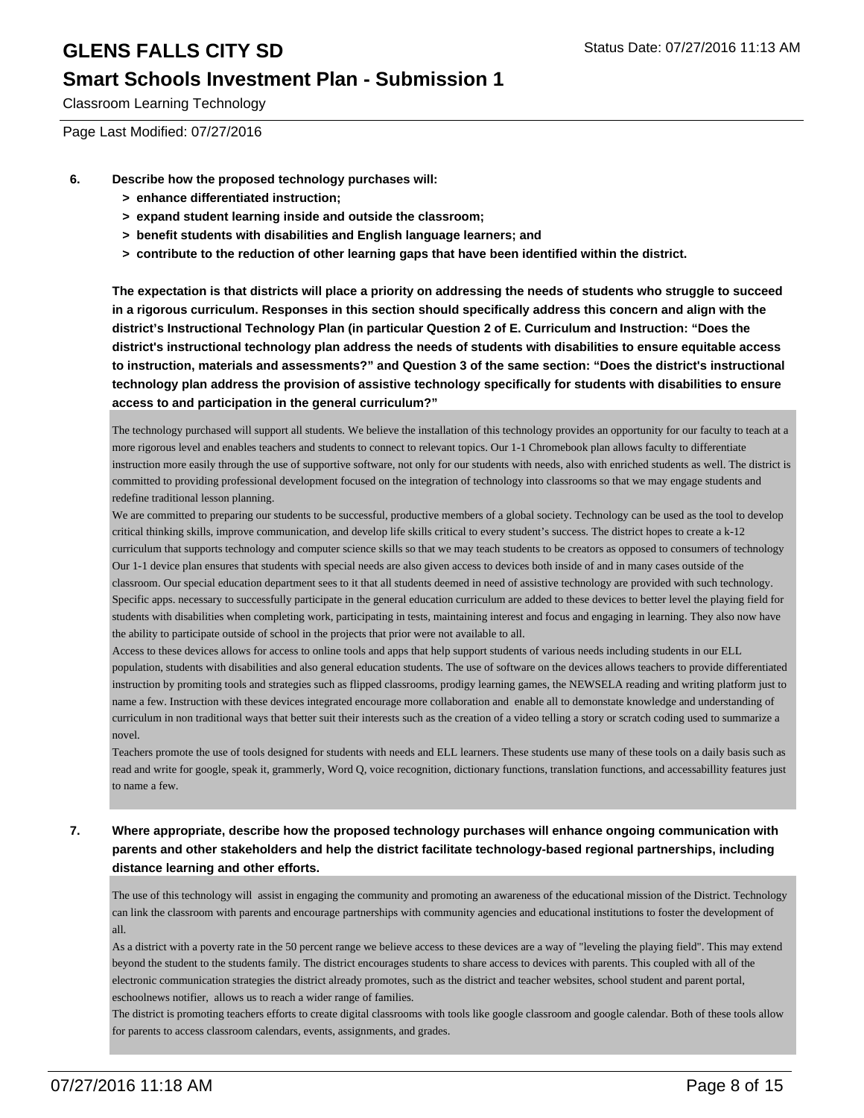### **Smart Schools Investment Plan - Submission 1**

Classroom Learning Technology

Page Last Modified: 07/27/2016

- **6. Describe how the proposed technology purchases will:**
	- **> enhance differentiated instruction;**
	- **> expand student learning inside and outside the classroom;**
	- **> benefit students with disabilities and English language learners; and**
	- **> contribute to the reduction of other learning gaps that have been identified within the district.**

**The expectation is that districts will place a priority on addressing the needs of students who struggle to succeed in a rigorous curriculum. Responses in this section should specifically address this concern and align with the district's Instructional Technology Plan (in particular Question 2 of E. Curriculum and Instruction: "Does the district's instructional technology plan address the needs of students with disabilities to ensure equitable access to instruction, materials and assessments?" and Question 3 of the same section: "Does the district's instructional technology plan address the provision of assistive technology specifically for students with disabilities to ensure access to and participation in the general curriculum?"**

The technology purchased will support all students. We believe the installation of this technology provides an opportunity for our faculty to teach at a more rigorous level and enables teachers and students to connect to relevant topics. Our 1-1 Chromebook plan allows faculty to differentiate instruction more easily through the use of supportive software, not only for our students with needs, also with enriched students as well. The district is committed to providing professional development focused on the integration of technology into classrooms so that we may engage students and redefine traditional lesson planning.

We are committed to preparing our students to be successful, productive members of a global society. Technology can be used as the tool to develop critical thinking skills, improve communication, and develop life skills critical to every student's success. The district hopes to create a k-12 curriculum that supports technology and computer science skills so that we may teach students to be creators as opposed to consumers of technology Our 1-1 device plan ensures that students with special needs are also given access to devices both inside of and in many cases outside of the classroom. Our special education department sees to it that all students deemed in need of assistive technology are provided with such technology. Specific apps. necessary to successfully participate in the general education curriculum are added to these devices to better level the playing field for students with disabilities when completing work, participating in tests, maintaining interest and focus and engaging in learning. They also now have the ability to participate outside of school in the projects that prior were not available to all.

Access to these devices allows for access to online tools and apps that help support students of various needs including students in our ELL population, students with disabilities and also general education students. The use of software on the devices allows teachers to provide differentiated instruction by promiting tools and strategies such as flipped classrooms, prodigy learning games, the NEWSELA reading and writing platform just to name a few. Instruction with these devices integrated encourage more collaboration and enable all to demonstate knowledge and understanding of curriculum in non traditional ways that better suit their interests such as the creation of a video telling a story or scratch coding used to summarize a novel.

Teachers promote the use of tools designed for students with needs and ELL learners. These students use many of these tools on a daily basis such as read and write for google, speak it, grammerly, Word Q, voice recognition, dictionary functions, translation functions, and accessabillity features just to name a few.

**7. Where appropriate, describe how the proposed technology purchases will enhance ongoing communication with parents and other stakeholders and help the district facilitate technology-based regional partnerships, including distance learning and other efforts.**

The use of this technology will assist in engaging the community and promoting an awareness of the educational mission of the District. Technology can link the classroom with parents and encourage partnerships with community agencies and educational institutions to foster the development of all.

As a district with a poverty rate in the 50 percent range we believe access to these devices are a way of "leveling the playing field". This may extend beyond the student to the students family. The district encourages students to share access to devices with parents. This coupled with all of the electronic communication strategies the district already promotes, such as the district and teacher websites, school student and parent portal, eschoolnews notifier, allows us to reach a wider range of families.

The district is promoting teachers efforts to create digital classrooms with tools like google classroom and google calendar. Both of these tools allow for parents to access classroom calendars, events, assignments, and grades.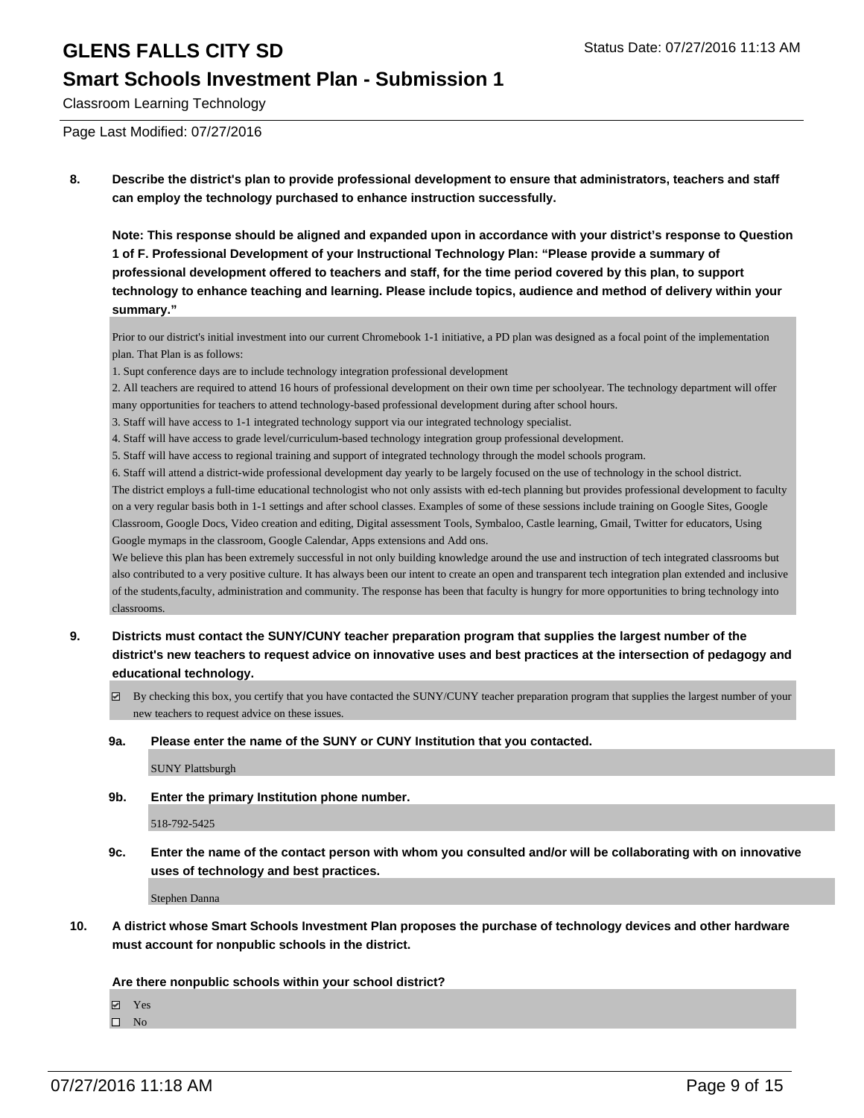#### **Smart Schools Investment Plan - Submission 1**

Classroom Learning Technology

Page Last Modified: 07/27/2016

**8. Describe the district's plan to provide professional development to ensure that administrators, teachers and staff can employ the technology purchased to enhance instruction successfully.**

**Note: This response should be aligned and expanded upon in accordance with your district's response to Question 1 of F. Professional Development of your Instructional Technology Plan: "Please provide a summary of professional development offered to teachers and staff, for the time period covered by this plan, to support technology to enhance teaching and learning. Please include topics, audience and method of delivery within your summary."**

Prior to our district's initial investment into our current Chromebook 1-1 initiative, a PD plan was designed as a focal point of the implementation plan. That Plan is as follows:

1. Supt conference days are to include technology integration professional development

2. All teachers are required to attend 16 hours of professional development on their own time per schoolyear. The technology department will offer many opportunities for teachers to attend technology-based professional development during after school hours.

3. Staff will have access to 1-1 integrated technology support via our integrated technology specialist.

4. Staff will have access to grade level/curriculum-based technology integration group professional development.

5. Staff will have access to regional training and support of integrated technology through the model schools program.

6. Staff will attend a district-wide professional development day yearly to be largely focused on the use of technology in the school district.

The district employs a full-time educational technologist who not only assists with ed-tech planning but provides professional development to faculty on a very regular basis both in 1-1 settings and after school classes. Examples of some of these sessions include training on Google Sites, Google Classroom, Google Docs, Video creation and editing, Digital assessment Tools, Symbaloo, Castle learning, Gmail, Twitter for educators, Using Google mymaps in the classroom, Google Calendar, Apps extensions and Add ons.

We believe this plan has been extremely successful in not only building knowledge around the use and instruction of tech integrated classrooms but also contributed to a very positive culture. It has always been our intent to create an open and transparent tech integration plan extended and inclusive of the students,faculty, administration and community. The response has been that faculty is hungry for more opportunities to bring technology into classrooms.

- **9. Districts must contact the SUNY/CUNY teacher preparation program that supplies the largest number of the district's new teachers to request advice on innovative uses and best practices at the intersection of pedagogy and educational technology.**
	- By checking this box, you certify that you have contacted the SUNY/CUNY teacher preparation program that supplies the largest number of your new teachers to request advice on these issues.

**9a. Please enter the name of the SUNY or CUNY Institution that you contacted.**

SUNY Plattsburgh

**9b. Enter the primary Institution phone number.**

518-792-5425

**9c. Enter the name of the contact person with whom you consulted and/or will be collaborating with on innovative uses of technology and best practices.**

Stephen Danna

**10. A district whose Smart Schools Investment Plan proposes the purchase of technology devices and other hardware must account for nonpublic schools in the district.**

**Are there nonpublic schools within your school district?**

**Ø** Yes

 $\square$  No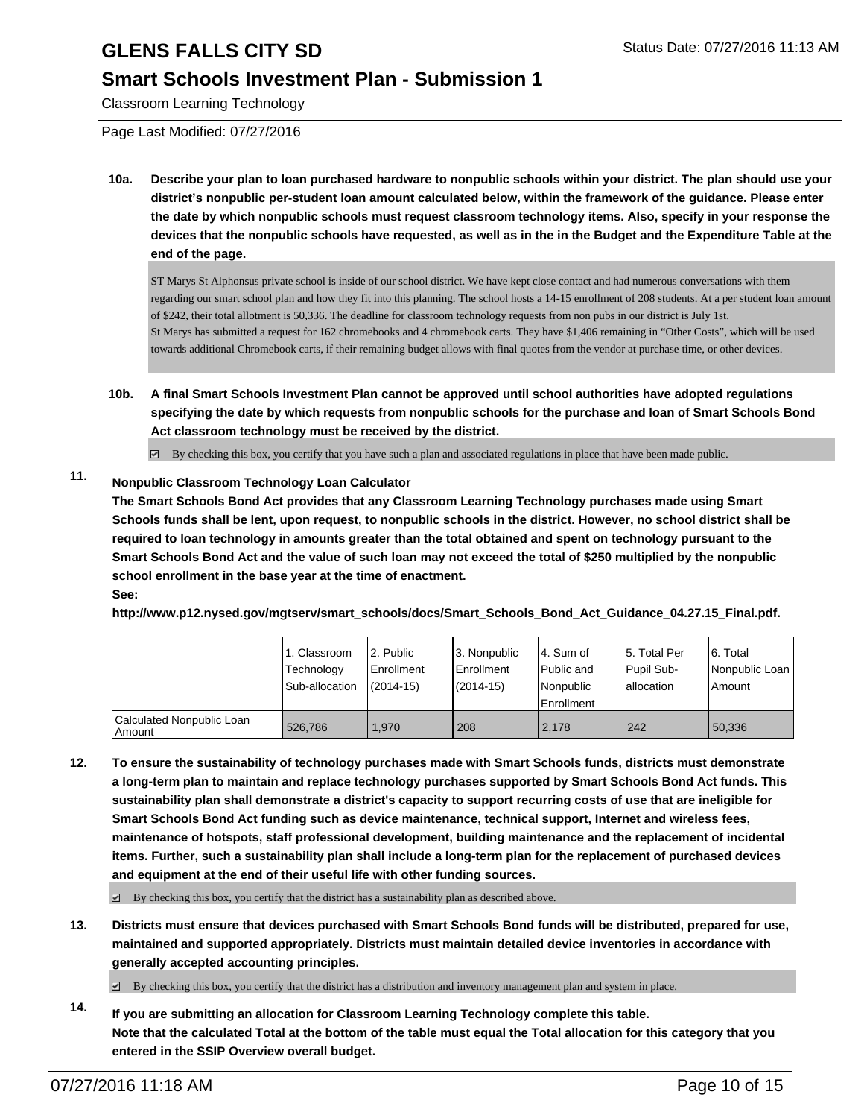### **Smart Schools Investment Plan - Submission 1**

Classroom Learning Technology

Page Last Modified: 07/27/2016

**10a. Describe your plan to loan purchased hardware to nonpublic schools within your district. The plan should use your district's nonpublic per-student loan amount calculated below, within the framework of the guidance. Please enter the date by which nonpublic schools must request classroom technology items. Also, specify in your response the devices that the nonpublic schools have requested, as well as in the in the Budget and the Expenditure Table at the end of the page.**

ST Marys St Alphonsus private school is inside of our school district. We have kept close contact and had numerous conversations with them regarding our smart school plan and how they fit into this planning. The school hosts a 14-15 enrollment of 208 students. At a per student loan amount of \$242, their total allotment is 50,336. The deadline for classroom technology requests from non pubs in our district is July 1st. St Marys has submitted a request for 162 chromebooks and 4 chromebook carts. They have \$1,406 remaining in "Other Costs", which will be used towards additional Chromebook carts, if their remaining budget allows with final quotes from the vendor at purchase time, or other devices.

**10b. A final Smart Schools Investment Plan cannot be approved until school authorities have adopted regulations specifying the date by which requests from nonpublic schools for the purchase and loan of Smart Schools Bond Act classroom technology must be received by the district.**

 $\boxtimes$  By checking this box, you certify that you have such a plan and associated regulations in place that have been made public.

### **11. Nonpublic Classroom Technology Loan Calculator**

**The Smart Schools Bond Act provides that any Classroom Learning Technology purchases made using Smart Schools funds shall be lent, upon request, to nonpublic schools in the district. However, no school district shall be required to loan technology in amounts greater than the total obtained and spent on technology pursuant to the Smart Schools Bond Act and the value of such loan may not exceed the total of \$250 multiplied by the nonpublic school enrollment in the base year at the time of enactment. See:**

**http://www.p12.nysed.gov/mgtserv/smart\_schools/docs/Smart\_Schools\_Bond\_Act\_Guidance\_04.27.15\_Final.pdf.**

|                                     | <sub>1</sub> . Classroom<br>Technology<br>Sub-allocation | 2. Public<br><b>Enrollment</b><br>$(2014 - 15)$ | 3. Nonpublic<br>Enrollment<br>$(2014-15)$ | l 4. Sum of<br>l Public and<br>l Nonpublic<br><b>Enrollment</b> | 5. Total Per<br>Pupil Sub-<br>lallocation | 6. Total<br>Nonpublic Loan<br>Amount |
|-------------------------------------|----------------------------------------------------------|-------------------------------------------------|-------------------------------------------|-----------------------------------------------------------------|-------------------------------------------|--------------------------------------|
| Calculated Nonpublic Loan<br>Amount | 526.786                                                  | 1.970                                           | 208                                       | 2.178                                                           | 242                                       | 50,336                               |

**12. To ensure the sustainability of technology purchases made with Smart Schools funds, districts must demonstrate a long-term plan to maintain and replace technology purchases supported by Smart Schools Bond Act funds. This sustainability plan shall demonstrate a district's capacity to support recurring costs of use that are ineligible for Smart Schools Bond Act funding such as device maintenance, technical support, Internet and wireless fees, maintenance of hotspots, staff professional development, building maintenance and the replacement of incidental items. Further, such a sustainability plan shall include a long-term plan for the replacement of purchased devices and equipment at the end of their useful life with other funding sources.**

 $\boxtimes$  By checking this box, you certify that the district has a sustainability plan as described above.

**13. Districts must ensure that devices purchased with Smart Schools Bond funds will be distributed, prepared for use, maintained and supported appropriately. Districts must maintain detailed device inventories in accordance with generally accepted accounting principles.**

 $\boxtimes$  By checking this box, you certify that the district has a distribution and inventory management plan and system in place.

**14. If you are submitting an allocation for Classroom Learning Technology complete this table. Note that the calculated Total at the bottom of the table must equal the Total allocation for this category that you entered in the SSIP Overview overall budget.**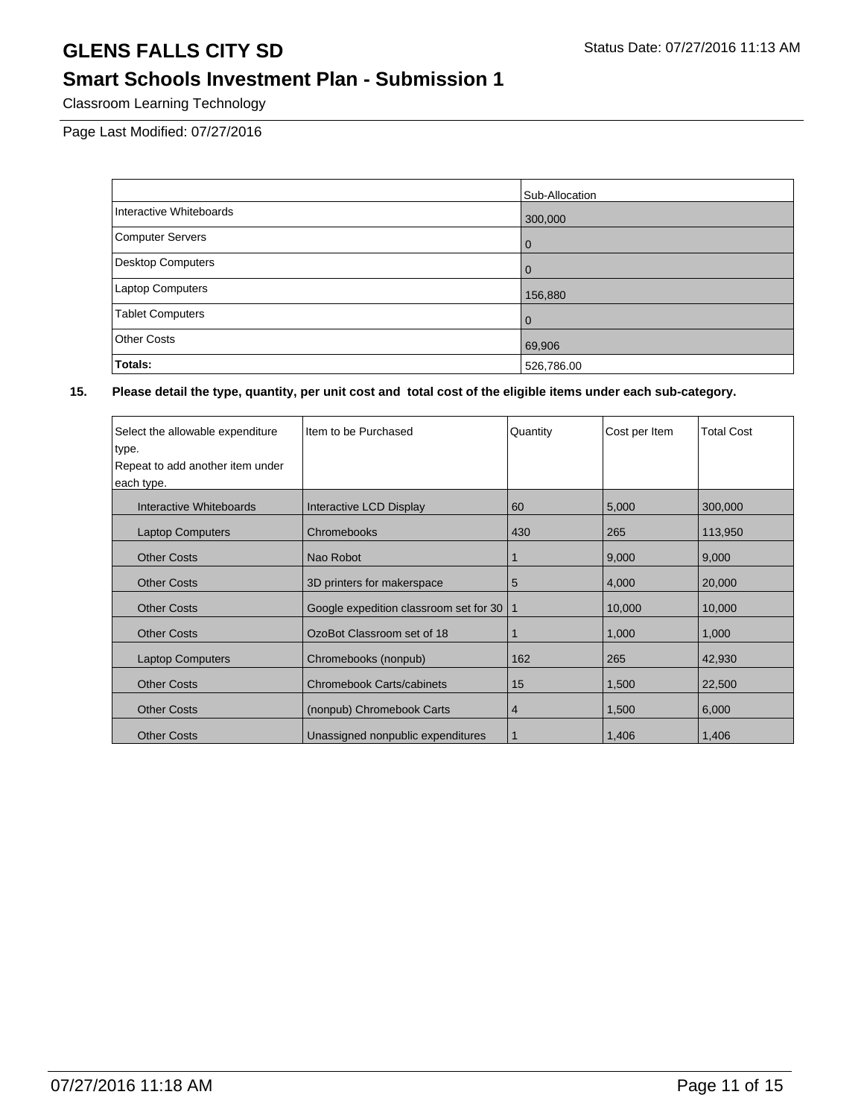### **Smart Schools Investment Plan - Submission 1**

Classroom Learning Technology

Page Last Modified: 07/27/2016

|                          | Sub-Allocation |
|--------------------------|----------------|
| Interactive Whiteboards  | 300,000        |
| <b>Computer Servers</b>  | l 0            |
| <b>Desktop Computers</b> | l 0            |
| <b>Laptop Computers</b>  | 156,880        |
| <b>Tablet Computers</b>  | $\overline{0}$ |
| <b>Other Costs</b>       | 69,906         |
| Totals:                  | 526,786.00     |

| Select the allowable expenditure | Item to be Purchased                   | Quantity     | Cost per Item | <b>Total Cost</b> |
|----------------------------------|----------------------------------------|--------------|---------------|-------------------|
| type.                            |                                        |              |               |                   |
| Repeat to add another item under |                                        |              |               |                   |
| each type.                       |                                        |              |               |                   |
| Interactive Whiteboards          | Interactive LCD Display                | 60           | 5,000         | 300,000           |
| <b>Laptop Computers</b>          | Chromebooks                            | 430          | 265           | 113,950           |
| <b>Other Costs</b>               | Nao Robot                              |              | 9,000         | 9,000             |
| <b>Other Costs</b>               | 3D printers for makerspace             | 5            | 4,000         | 20,000            |
| <b>Other Costs</b>               | Google expedition classroom set for 30 | $\mathbf{1}$ | 10,000        | 10,000            |
| <b>Other Costs</b>               | OzoBot Classroom set of 18             |              | 1,000         | 1,000             |
| <b>Laptop Computers</b>          | Chromebooks (nonpub)                   | 162          | 265           | 42,930            |
| <b>Other Costs</b>               | <b>Chromebook Carts/cabinets</b>       | 15           | 1,500         | 22,500            |
| <b>Other Costs</b>               | (nonpub) Chromebook Carts              | 4            | 1,500         | 6,000             |
| <b>Other Costs</b>               | Unassigned nonpublic expenditures      |              | 1,406         | 1,406             |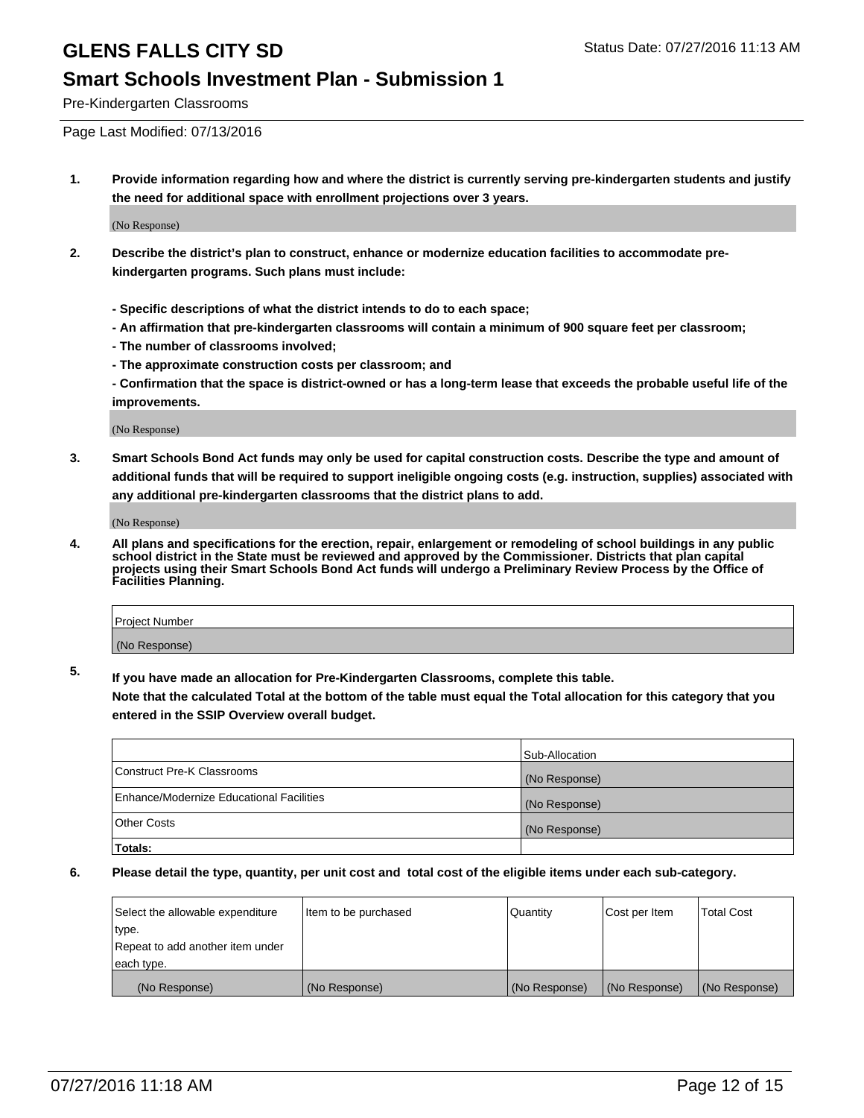### **Smart Schools Investment Plan - Submission 1**

Pre-Kindergarten Classrooms

Page Last Modified: 07/13/2016

**1. Provide information regarding how and where the district is currently serving pre-kindergarten students and justify the need for additional space with enrollment projections over 3 years.**

(No Response)

- **2. Describe the district's plan to construct, enhance or modernize education facilities to accommodate prekindergarten programs. Such plans must include:**
	- **Specific descriptions of what the district intends to do to each space;**
	- **An affirmation that pre-kindergarten classrooms will contain a minimum of 900 square feet per classroom;**
	- **The number of classrooms involved;**
	- **The approximate construction costs per classroom; and**
	- **Confirmation that the space is district-owned or has a long-term lease that exceeds the probable useful life of the improvements.**

(No Response)

**3. Smart Schools Bond Act funds may only be used for capital construction costs. Describe the type and amount of additional funds that will be required to support ineligible ongoing costs (e.g. instruction, supplies) associated with any additional pre-kindergarten classrooms that the district plans to add.**

(No Response)

**4. All plans and specifications for the erection, repair, enlargement or remodeling of school buildings in any public school district in the State must be reviewed and approved by the Commissioner. Districts that plan capital projects using their Smart Schools Bond Act funds will undergo a Preliminary Review Process by the Office of Facilities Planning.**

| Project Number |  |
|----------------|--|
| (No Response)  |  |

**5. If you have made an allocation for Pre-Kindergarten Classrooms, complete this table.**

**Note that the calculated Total at the bottom of the table must equal the Total allocation for this category that you entered in the SSIP Overview overall budget.**

|                                          | Sub-Allocation |
|------------------------------------------|----------------|
| Construct Pre-K Classrooms               | (No Response)  |
| Enhance/Modernize Educational Facilities | (No Response)  |
| <b>Other Costs</b>                       | (No Response)  |
| Totals:                                  |                |

| Select the allowable expenditure | litem to be purchased | Quantity      | Cost per Item | <b>Total Cost</b> |
|----------------------------------|-----------------------|---------------|---------------|-------------------|
| type.                            |                       |               |               |                   |
| Repeat to add another item under |                       |               |               |                   |
| each type.                       |                       |               |               |                   |
| (No Response)                    | (No Response)         | (No Response) | (No Response) | (No Response)     |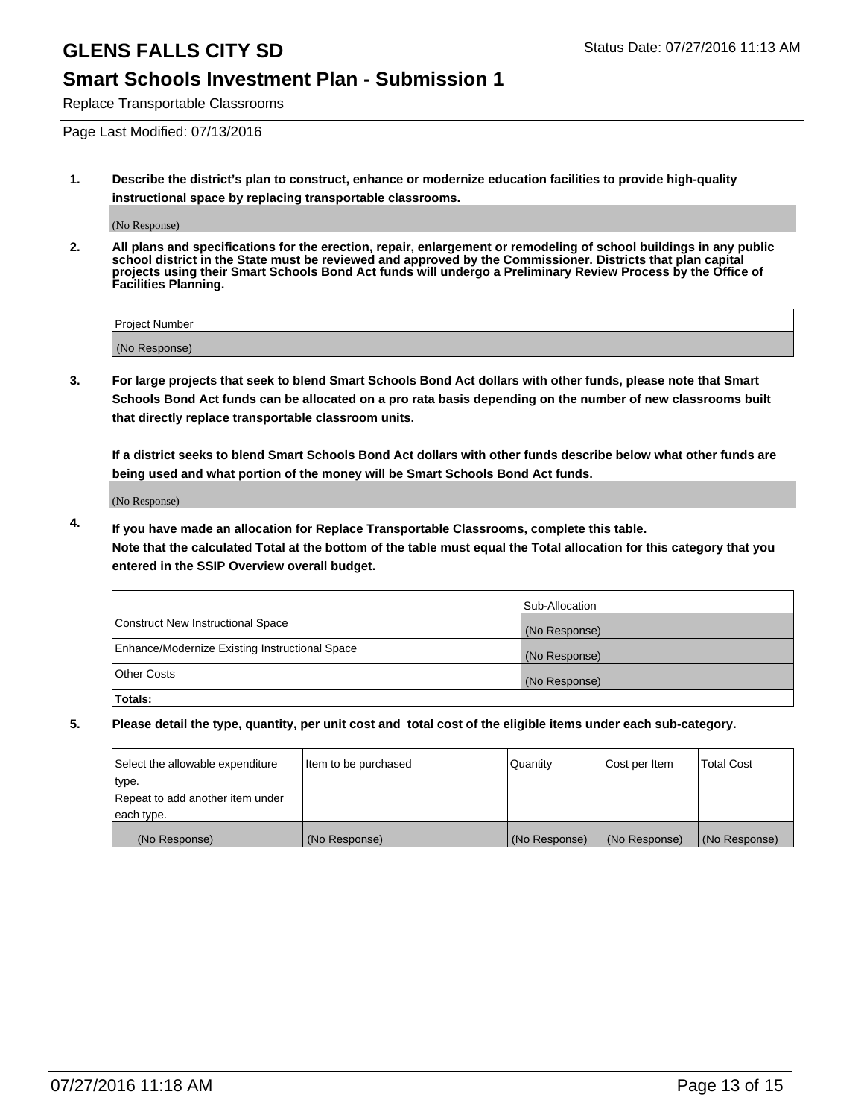### **Smart Schools Investment Plan - Submission 1**

Replace Transportable Classrooms

Page Last Modified: 07/13/2016

**1. Describe the district's plan to construct, enhance or modernize education facilities to provide high-quality instructional space by replacing transportable classrooms.**

(No Response)

**2. All plans and specifications for the erection, repair, enlargement or remodeling of school buildings in any public school district in the State must be reviewed and approved by the Commissioner. Districts that plan capital projects using their Smart Schools Bond Act funds will undergo a Preliminary Review Process by the Office of Facilities Planning.**

| <b>Project Number</b> |  |
|-----------------------|--|
| (No Response)         |  |

**3. For large projects that seek to blend Smart Schools Bond Act dollars with other funds, please note that Smart Schools Bond Act funds can be allocated on a pro rata basis depending on the number of new classrooms built that directly replace transportable classroom units.**

**If a district seeks to blend Smart Schools Bond Act dollars with other funds describe below what other funds are being used and what portion of the money will be Smart Schools Bond Act funds.**

(No Response)

**4. If you have made an allocation for Replace Transportable Classrooms, complete this table. Note that the calculated Total at the bottom of the table must equal the Total allocation for this category that you entered in the SSIP Overview overall budget.**

|                                                | Sub-Allocation |
|------------------------------------------------|----------------|
| Construct New Instructional Space              | (No Response)  |
| Enhance/Modernize Existing Instructional Space | (No Response)  |
| Other Costs                                    | (No Response)  |
| Totals:                                        |                |

| Select the allowable expenditure | Item to be purchased | Quantity      | Cost per Item | <b>Total Cost</b> |
|----------------------------------|----------------------|---------------|---------------|-------------------|
| type.                            |                      |               |               |                   |
| Repeat to add another item under |                      |               |               |                   |
| each type.                       |                      |               |               |                   |
| (No Response)                    | (No Response)        | (No Response) | (No Response) | (No Response)     |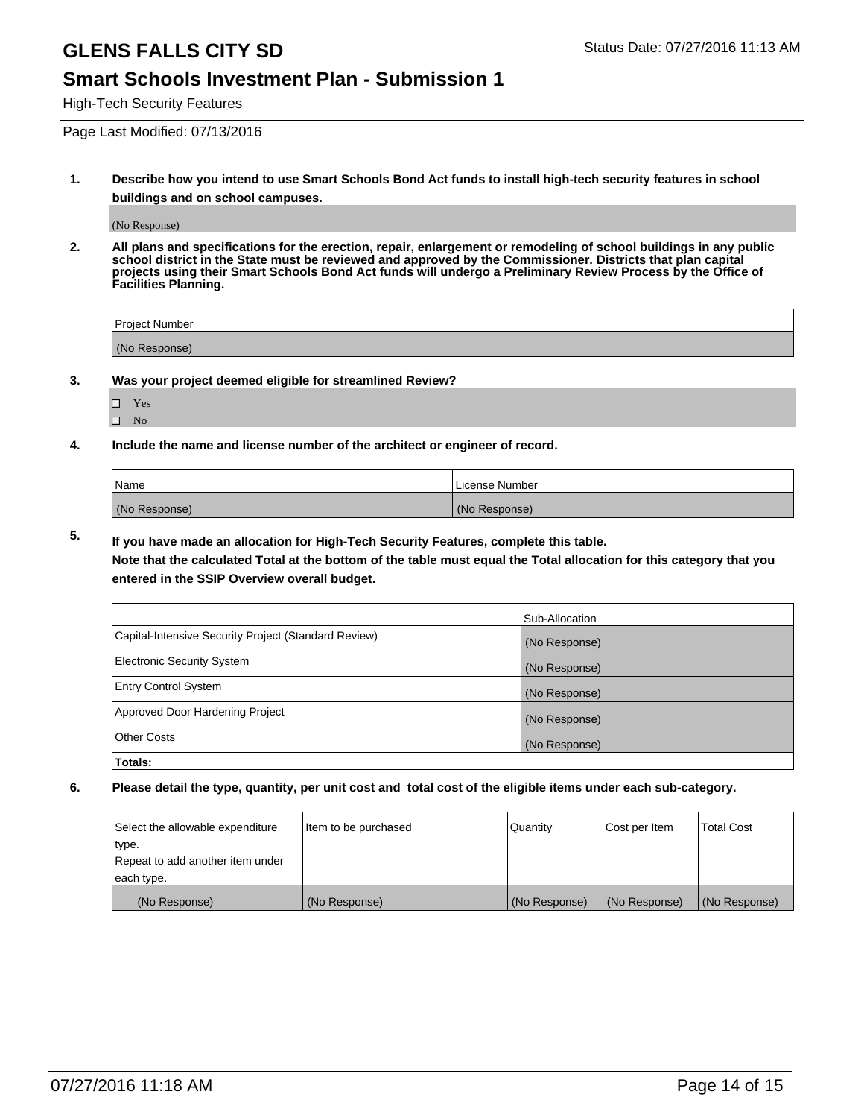#### **Smart Schools Investment Plan - Submission 1**

High-Tech Security Features

Page Last Modified: 07/13/2016

**1. Describe how you intend to use Smart Schools Bond Act funds to install high-tech security features in school buildings and on school campuses.**

(No Response)

**2. All plans and specifications for the erection, repair, enlargement or remodeling of school buildings in any public school district in the State must be reviewed and approved by the Commissioner. Districts that plan capital projects using their Smart Schools Bond Act funds will undergo a Preliminary Review Process by the Office of Facilities Planning.** 

| Project Number |  |
|----------------|--|
| (No Response)  |  |

**3. Was your project deemed eligible for streamlined Review?**

| H | Yes |  |
|---|-----|--|
| П | Nο  |  |

**4. Include the name and license number of the architect or engineer of record.**

| Name          | License Number |
|---------------|----------------|
| (No Response) | (No Response)  |

**5. If you have made an allocation for High-Tech Security Features, complete this table.**

**Note that the calculated Total at the bottom of the table must equal the Total allocation for this category that you entered in the SSIP Overview overall budget.**

|                                                      | Sub-Allocation |
|------------------------------------------------------|----------------|
| Capital-Intensive Security Project (Standard Review) | (No Response)  |
| <b>Electronic Security System</b>                    | (No Response)  |
| <b>Entry Control System</b>                          | (No Response)  |
| Approved Door Hardening Project                      | (No Response)  |
| <b>Other Costs</b>                                   | (No Response)  |
| Totals:                                              |                |

| Select the allowable expenditure | Item to be purchased | Quantity      | Cost per Item | <b>Total Cost</b> |
|----------------------------------|----------------------|---------------|---------------|-------------------|
| type.                            |                      |               |               |                   |
| Repeat to add another item under |                      |               |               |                   |
| each type.                       |                      |               |               |                   |
| (No Response)                    | (No Response)        | (No Response) | (No Response) | (No Response)     |